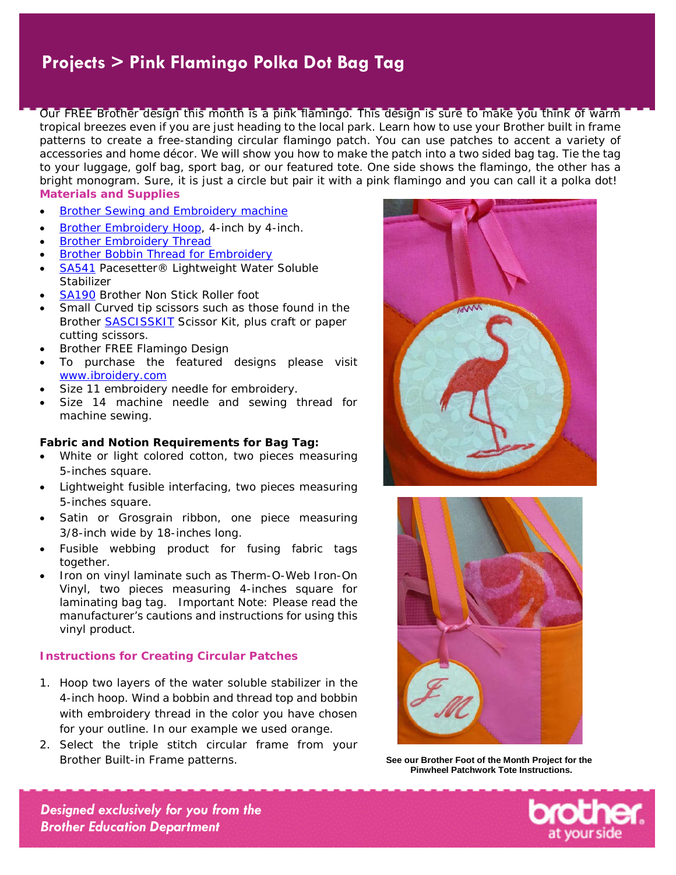Our FREE Brother design this month is a pink flamingo. This design is sure to make you think of warm tropical breezes even if you are just heading to the local park. Learn how to use your Brother built in frame patterns to create a free-standing circular flamingo patch. You can use patches to accent a variety of accessories and home décor. We will show you how to make the patch into a two sided bag tag. Tie the tag to your luggage, golf bag, sport bag, or our featured tote. One side shows the flamingo, the other has a bright monogram. Sure, it is just a circle but pair it with a pink flamingo and you can call it a polka dot! **Materials and Supplies** 

- [Brother Sewing and Embroidery machine](http://www.brother-usa.com/homesewing/Products.aspx#.UbYSvZyKU1Ihttp://www.brother-usa.com/homesewing/Products.aspx)
- [Brother Embroidery Hoop,](http://www.brother-usa.com/Homesewing/Accessories/AccessoryList.aspx?ACASCID=22&CatID=13) 4-inch by 4-inch.
- **[Brother Embroidery Thread](http://www.brother-usa.com/Homesewing/accessories/accessorylist.aspx?ACASCID=50&CatID=10)**
- [Brother Bobbin Thread for Embroidery](http://www.brother-usa.com/Homesewing/Accessories/AccessoryList.aspx?ACASCID=61&CatID=10)
- [SA541](http://www.brother-usa.com/Homesewing/accessories/AccessoryDetail.aspx?R3AccessoryID=SA541) Pacesetter® Lightweight Water Soluble Stabilizer
- [SA190](http://www.brother-usa.com/Homesewing/accessories/AccessoryDetail.aspx?R3AccessoryID=SA190) Brother Non Stick Roller foot
- Small Curved tip scissors such as those found in the Brother [SASCISSKIT](http://www.brother-usa.com/homesewing/accessories/AccessoryDetail.aspx?R3AccessoryID=SASCISSKIT) Scissor Kit, plus craft or paper cutting scissors.
- Brother FREE Flamingo Design
- To purchase the featured designs please visit [www.ibroidery.com](http://www.ibroidery.com/)
- Size 11 embroidery needle for embroidery.
- Size 14 machine needle and sewing thread for machine sewing.

#### **Fabric and Notion Requirements for Bag Tag:**

- White or light colored cotton, two pieces measuring 5-inches square.
- Lightweight fusible interfacing, two pieces measuring 5-inches square.
- Satin or Grosgrain ribbon, one piece measuring 3/8-inch wide by 18-inches long.
- Fusible webbing product for fusing fabric tags together.
- Iron on vinyl laminate such as Therm-O-Web Iron-On Vinyl, two pieces measuring 4-inches square for laminating bag tag. Important Note: Please read the manufacturer's cautions and instructions for using this vinyl product.

#### **Instructions for Creating Circular Patches**

- 1. Hoop two layers of the water soluble stabilizer in the 4-inch hoop. Wind a bobbin and thread top and bobbin with embroidery thread in the color you have chosen for your outline. In our example we used orange.
- 2. Select the triple stitch circular frame from your Brother Built-in Frame patterns. **See our Brother Foot of the Month Project for the**





**Pinwheel Patchwork Tote Instructions.**

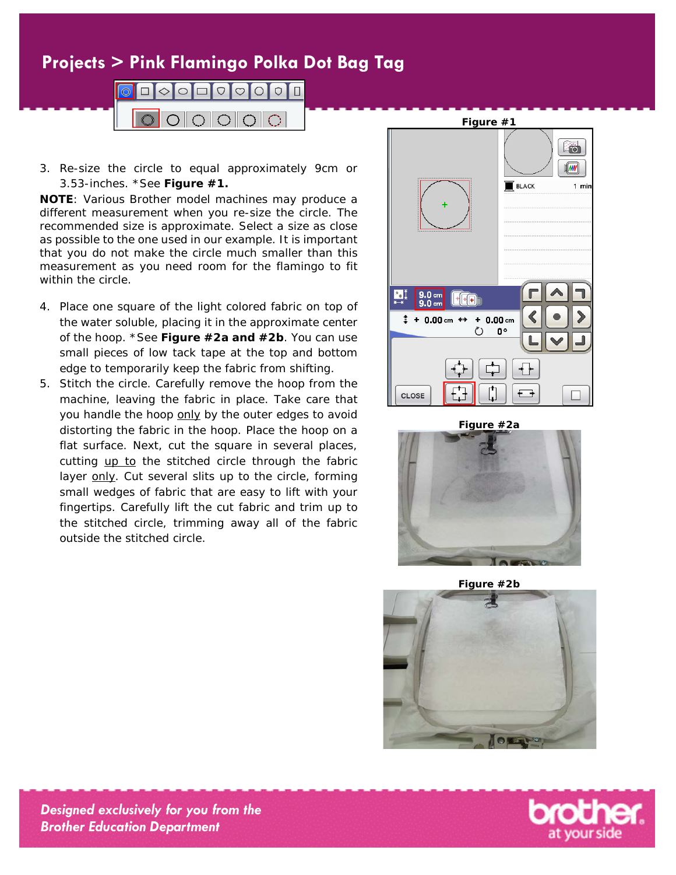

3. Re-size the circle to equal approximately 9cm or 3.53-inches. \*See **Figure #1.**

**NOTE**: Various Brother model machines may produce a different measurement when you re-size the circle. The recommended size is approximate. Select a size as close as possible to the one used in our example. It is important that you do not make the circle much smaller than this measurement as you need room for the flamingo to fit within the circle.

- 4. Place one square of the light colored fabric on top of the water soluble, placing it in the approximate center of the hoop. \*See **Figure #2a and #2b**. You can use small pieces of low tack tape at the top and bottom edge to temporarily keep the fabric from shifting.
- 5. Stitch the circle. Carefully remove the hoop from the machine, leaving the fabric in place. Take care that you handle the hoop only by the outer edges to avoid distorting the fabric in the hoop. Place the hoop on a flat surface. Next, cut the square in several places, cutting up to the stitched circle through the fabric layer only. Cut several slits up to the circle, forming small wedges of fabric that are easy to lift with your fingertips. Carefully lift the cut fabric and trim up to the stitched circle, trimming away all of the fabric outside the stitched circle.



**Figure #2a**



**Figure #2b**



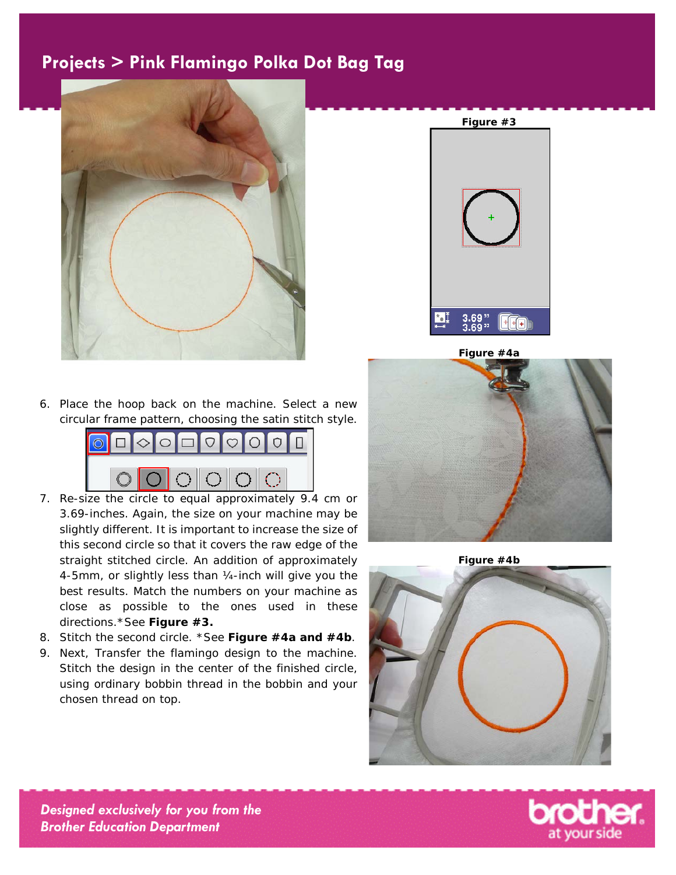



**Figure #4a**

6. Place the hoop back on the machine. Select a new circular frame pattern, choosing the satin stitch style.



- 7. Re-size the circle to equal approximately 9.4 cm or 3.69-inches. Again, the size on your machine may be slightly different. It is important to increase the size of this second circle so that it covers the raw edge of the straight stitched circle. An addition of approximately 4-5mm, or slightly less than ¼-inch will give you the best results. Match the numbers on your machine as close as possible to the ones used in these directions.\*See **Figure #3.**
- 8. Stitch the second circle. \*See **Figure #4a and #4b**.
- 9. Next, Transfer the flamingo design to the machine. Stitch the design in the center of the finished circle, using ordinary bobbin thread in the bobbin and your chosen thread on top.



**Figure #4b**



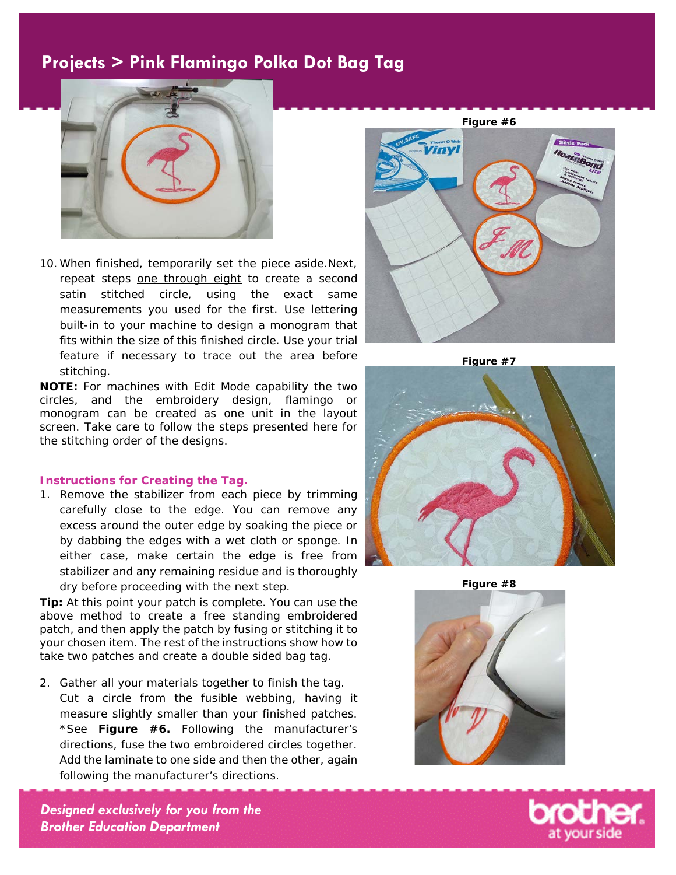

10. When finished, temporarily set the piece aside.Next, repeat steps one through eight to create a second satin stitched circle, using the exact same measurements you used for the first. Use lettering built-in to your machine to design a monogram that fits within the size of this finished circle. Use your trial feature if necessary to trace out the area before stitching.

**NOTE:** For machines with Edit Mode capability the two circles, and the embroidery design, flamingo or monogram can be created as one unit in the layout screen. Take care to follow the steps presented here for the stitching order of the designs.

#### **Instructions for Creating the Tag.**

1. Remove the stabilizer from each piece by trimming carefully close to the edge. You can remove any excess around the outer edge by soaking the piece or by dabbing the edges with a wet cloth or sponge. In either case, make certain the edge is free from stabilizer and any remaining residue and is thoroughly dry before proceeding with the next step.

**Tip:** At this point your patch is complete. You can use the above method to create a free standing embroidered patch, and then apply the patch by fusing or stitching it to your chosen item. The rest of the instructions show how to take two patches and create a double sided bag tag.

2. Gather all your materials together to finish the tag. Cut a circle from the fusible webbing, having it measure slightly smaller than your finished patches. \*See **Figure #6.** Following the manufacturer's directions, fuse the two embroidered circles together. Add the laminate to one side and then the other, again following the manufacturer's directions.



**Figure #7**